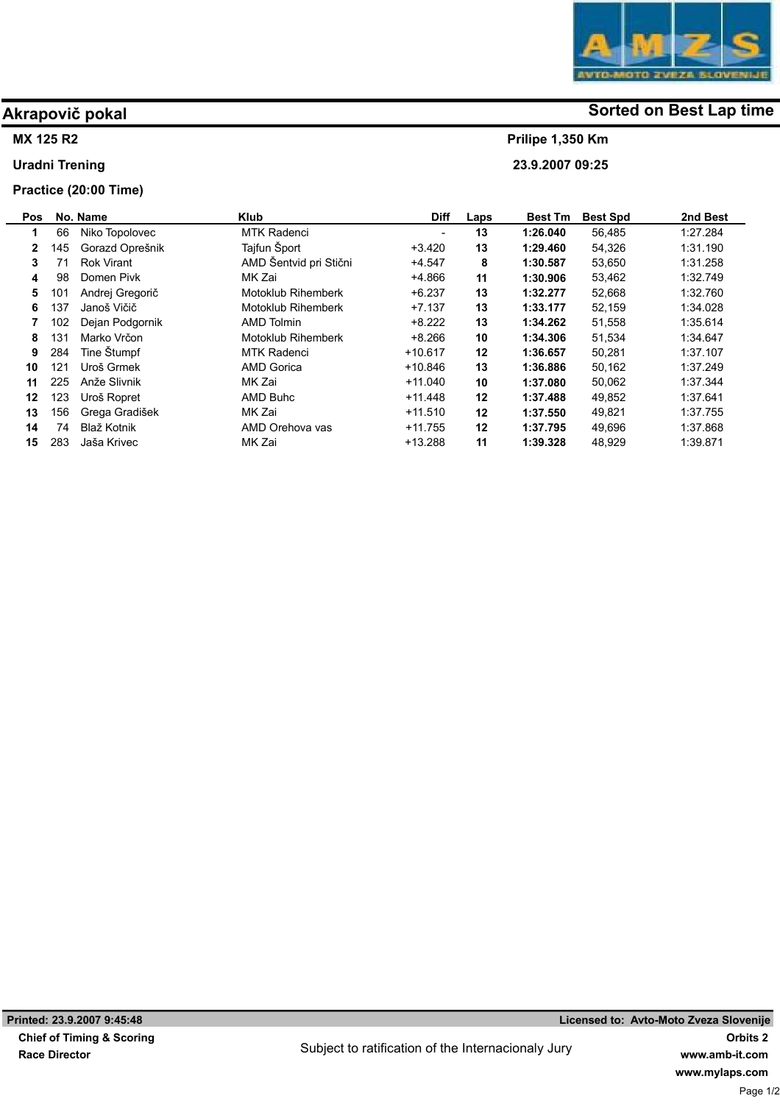

# Akrapovič pokal and some of the society of the Sorted on Best Lap time

Prilipe 1,350 Km 23.9.2007 09:25

## MX 125 R2

Uradni Trening

## Practice (20:00 Time)

| Pos          |     | No. Name          | <b>Klub</b>               | <b>Diff</b> | Laps | <b>Best Tm</b> | <b>Best Spd</b> | 2nd Best |
|--------------|-----|-------------------|---------------------------|-------------|------|----------------|-----------------|----------|
| 1            | 66  | Niko Topolovec    | <b>MTK Radenci</b>        |             | 13   | 1:26.040       | 56,485          | 1:27.284 |
| $\mathbf{2}$ | 145 | Gorazd Oprešnik   | Tajfun Šport              | $+3.420$    | 13   | 1:29.460       | 54,326          | 1:31.190 |
| 3            |     | <b>Rok Virant</b> | AMD Šentvid pri Stični    | $+4.547$    | 8    | 1:30.587       | 53.650          | 1:31.258 |
| 4            | 98  | Domen Pivk        | MK Zai                    | $+4.866$    | 11   | 1:30.906       | 53,462          | 1.32.749 |
| 5            | 101 | Andrej Gregorič   | <b>Motoklub Rihemberk</b> | $+6.237$    | 13   | 1:32.277       | 52,668          | 1:32.760 |
| 6            | 137 | Janoš Vičič       | <b>Motoklub Rihemberk</b> | $+7.137$    | 13   | 1:33.177       | 52.159          | 1.34.028 |
|              | 102 | Dejan Podgornik   | <b>AMD Tolmin</b>         | $+8.222$    | 13   | 1:34.262       | 51,558          | 1.35.614 |
| 8            | 131 | Marko Vrčon       | Motoklub Rihemberk        | $+8.266$    | 10   | 1:34.306       | 51,534          | 1.34.647 |
| 9            | 284 | Tine Stumpf       | <b>MTK Radenci</b>        | $+10.617$   | 12   | 1:36.657       | 50,281          | 1:37.107 |
| 10           | 121 | Uroš Grmek        | <b>AMD Gorica</b>         | $+10.846$   | 13   | 1:36.886       | 50.162          | 1.37.249 |
| 11           | 225 | Anže Slivnik      | MK Zai                    | $+11.040$   | 10   | 1:37.080       | 50,062          | 1:37.344 |
| 12           | 123 | Uroš Ropret       | AMD Buhc                  | $+11.448$   | 12   | 1:37.488       | 49,852          | 1:37.641 |
| 13           | 156 | Grega Gradišek    | MK Zai                    | $+11.510$   | 12   | 1:37.550       | 49,821          | 1.37.755 |
| 14           | 74  | Blaž Kotnik       | AMD Orehova vas           | $+11.755$   | 12   | 1:37.795       | 49,696          | 1:37.868 |
| 15           | 283 | Jaša Krivec       | MK Zai                    | $+13.288$   | 11   | 1:39.328       | 48,929          | 1.39.871 |